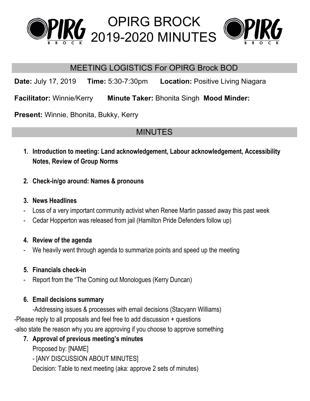





### MEETING LOGISTICS For OPIRG Brock BOD

**Date:** July 17, 2019 **Time:** 5:30-7:30pm **Location:** Positive Living Niagara

**Facilitator:** Winnie/Kerry **Minute Taker:** Bhonita Singh **Mood Minder:**

**Present:** Winnie, Bhonita, Bukky, Kerry

# MINUTES

- **1. Introduction to meeting: Land acknowledgement, Labour acknowledgement, Accessibility Notes, Review of Group Norms**
- **2. Check-in/go around: Names & pronouns**

### **3. News Headlines**

- Loss of a very important community activist when Renee Martin passed away this past week
- Cedar Hopperton was released from jail (Hamilton Pride Defenders follow up)

### **4. Review of the agenda**

We heavily went through agenda to summarize points and speed up the meeting

### **5. Financials check-in**

Report from the "The Coming out Monologues (Kerry Duncan)

### **6. Email decisions summary**

-Addressing issues & processes with email decisions (Stacyann Williams) -Please reply to all proposals and feel free to add discussion + questions -also state the reason why you are approving if you choose to approve something

### **7. Approval of previous meeting's minutes**

Proposed by: [NAME]

- [ANY DISCUSSION ABOUT MINUTES]

Decision: Table to next meeting (aka: approve 2 sets of minutes)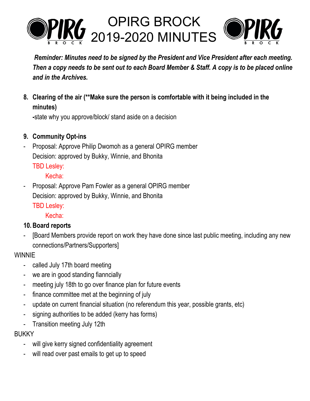

*Reminder: Minutes need to be signed by the President and Vice President after each meeting.* Then a copy needs to be sent out to each Board Member & Staff. A copy is to be placed online *and in the Archives.*

**8. Clearing of the air (\*\*Make sure the person is comfortable with it being included in the minutes)**

**-**state why you approve/block/ stand aside on a decision

- **9. Community Opt-ins**
- Proposal: Approve Philip Dwomoh as a general OPIRG member Decision: approved by Bukky, Winnie, and Bhonita

TBD Lesley:

Kecha:

Proposal: Approve Pam Fowler as a general OPIRG member Decision: approved by Bukky, Winnie, and Bhonita

TBD Lesley:

Kecha:

### **10.Board reports**

[Board Members provide report on work they have done since last public meeting, including any new connections/Partners/Supporters]

### **WINNIE**

- called July 17th board meeting
- we are in good standing fianncially
- meeting july 18th to go over finance plan for future events
- finance committee met at the beginning of july
- update on current financial situation (no referendum this year, possible grants, etc)
- signing authorities to be added (kerry has forms)
- Transition meeting July 12th

### BUKKY

- will give kerry signed confidentiality agreement
- will read over past emails to get up to speed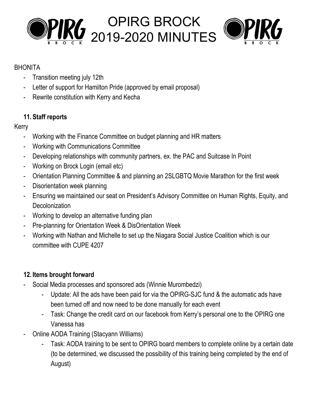



#### BHONITA

- Transition meeting july 12th
- Letter of support for Hamilton Pride (approved by email proposal)
- Rewrite constitution with Kerry and Kecha

### **11. Staff reports**

### Kerry

- Working with the Finance Committee on budget planning and HR matters
- Working with Communications Committee
- Developing relationships with community partners, ex. the PAC and Suitcase In Point
- Working on Brock Login (email etc)
- Orientation Planning Committee & and planning an 2SLGBTQ Movie Marathon for the first week
- Disorientation week planning
- Ensuring we maintained our seat on President's Advisory Committee on Human Rights, Equity, and **Decolonization**
- Working to develop an alternative funding plan
- Pre-planning for Orientation Week & DisOrientation Week
- Working with Nathan and Michelle to set up the Niagara Social Justice Coalition which is our committee with CUPE 4207

### **12. Items brought forward**

- Social Media processes and sponsored ads (Winnie Murombedzi)
	- Update: All the ads have been paid for via the OPIRG-SJC fund & the automatic ads have been turned off and now need to be done manually for each event
	- Task: Change the credit card on our facebook from Kerry's personal one to the OPIRG one Vanessa has
- Online AODA Training (Stacyann Williams)
	- Task: AODA training to be sent to OPIRG board members to complete online by a certain date (to be determined, we discussed the possibility of this training being completed by the end of August)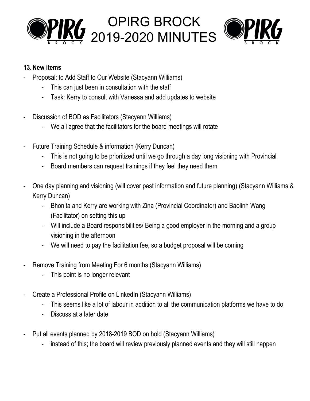



#### **13.New items**

- Proposal: to Add Staff to Our Website (Stacyann Williams)
	- This can just been in consultation with the staff
	- Task: Kerry to consult with Vanessa and add updates to website
- Discussion of BOD as Facilitators (Stacyann Williams)
	- We all agree that the facilitators for the board meetings will rotate
- Future Training Schedule & information (Kerry Duncan)
	- This is not going to be prioritized until we go through a day long visioning with Provincial
	- Board members can request trainings if they feel they need them
- One day planning and visioning (will cover past information and future planning) (Stacyann Williams & Kerry Duncan)
	- Bhonita and Kerry are working with Zina (Provincial Coordinator) and Baolinh Wang (Facilitator) on setting this up
	- Will include a Board responsibilities/ Being a good employer in the morning and a group visioning in the afternoon
	- We will need to pay the facilitation fee, so a budget proposal will be coming
- Remove Training from Meeting For 6 months (Stacyann Williams)
	- This point is no longer relevant
- Create a Professional Profile on LinkedIn (Stacyann Williams)
	- This seems like a lot of labour in addition to all the communication platforms we have to do
	- Discuss at a later date
- Put all events planned by 2018-2019 BOD on hold (Stacyann Williams)
	- instead of this; the board will review previously planned events and they will still happen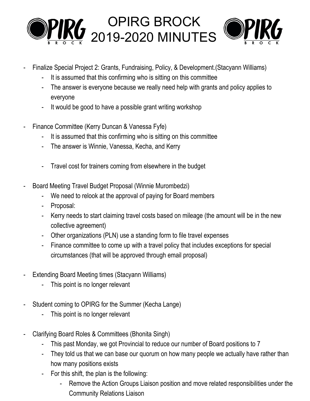

- Finalize Special Project 2: Grants, Fundraising, Policy, & Development.(Stacyann Williams)
	- It is assumed that this confirming who is sitting on this committee
	- The answer is everyone because we really need help with grants and policy applies to everyone
	- It would be good to have a possible grant writing workshop
- Finance Committee (Kerry Duncan & Vanessa Fyfe)
	- It is assumed that this confirming who is sitting on this committee
	- The answer is Winnie, Vanessa, Kecha, and Kerry
	- Travel cost for trainers coming from elsewhere in the budget
- Board Meeting Travel Budget Proposal (Winnie Murombedzi)
	- We need to relook at the approval of paying for Board members
	- Proposal:
	- Kerry needs to start claiming travel costs based on mileage (the amount will be in the new collective agreement)
	- Other organizations (PLN) use a standing form to file travel expenses
	- Finance committee to come up with a travel policy that includes exceptions for special circumstances (that will be approved through email proposal)
- Extending Board Meeting times (Stacyann Williams)
	- This point is no longer relevant
- Student coming to OPIRG for the Summer (Kecha Lange)
	- This point is no longer relevant
- Clarifying Board Roles & Committees (Bhonita Singh)
	- This past Monday, we got Provincial to reduce our number of Board positions to 7
	- They told us that we can base our quorum on how many people we actually have rather than how many positions exists
	- For this shift, the plan is the following:
		- Remove the Action Groups Liaison position and move related responsibilities under the Community Relations Liaison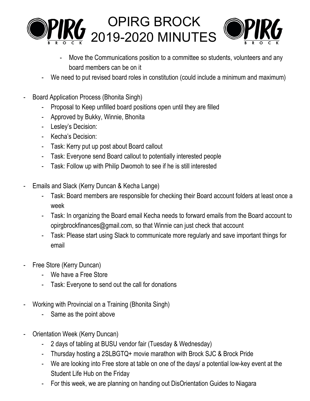



- Move the Communications position to a committee so students, volunteers and any board members can be on it
- We need to put revised board roles in constitution (could include a minimum and maximum)
- Board Application Process (Bhonita Singh)
	- Proposal to Keep unfilled board positions open until they are filled
	- Approved by Bukky, Winnie, Bhonita
	- Lesley's Decision:
	- Kecha's Decision:
	- Task: Kerry put up post about Board callout
	- Task: Everyone send Board callout to potentially interested people
	- Task: Follow up with Philip Dwomoh to see if he is still interested
- Emails and Slack (Kerry Duncan & Kecha Lange)
	- Task: Board members are responsible for checking their Board account folders at least once a week
	- Task: In organizing the Board email Kecha needs to forward emails from the Board account to opirgbrockfinances@gmail.com, so that Winnie can just check that account
	- Task: Please start using Slack to communicate more regularly and save important things for email
- Free Store (Kerry Duncan)
	- We have a Free Store
	- Task: Everyone to send out the call for donations
- Working with Provincial on a Training (Bhonita Singh)
	- Same as the point above
- Orientation Week (Kerry Duncan)
	- 2 days of tabling at BUSU vendor fair (Tuesday & Wednesday)
	- Thursday hosting a 2SLBGTQ+ movie marathon with Brock SJC & Brock Pride
	- We are looking into Free store at table on one of the days/ a potential low-key event at the Student Life Hub on the Friday
	- For this week, we are planning on handing out DisOrientation Guides to Niagara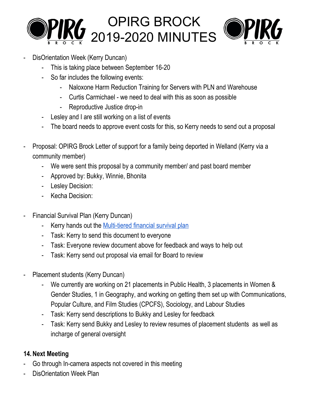



- DisOrientation Week (Kerry Duncan)
	- This is taking place between September 16-20
	- So far includes the following events:
		- Naloxone Harm Reduction Training for Servers with PLN and Warehouse
		- Curtis Carmichael we need to deal with this as soon as possible
		- Reproductive Justice drop-in
	- Lesley and I are still working on a list of events
	- The board needs to approve event costs for this, so Kerry needs to send out a proposal
- Proposal: OPIRG Brock Letter of support for a family being deported in Welland (Kerry via a community member)
	- We were sent this proposal by a community member/ and past board member
	- Approved by: Bukky, Winnie, Bhonita
	- Lesley Decision:
	- Kecha Decision:
- Financial Survival Plan (Kerry Duncan)
	- Kerry hands out the [Multi-tiered](https://docs.google.com/document/d/1mGfh9Cr9WuVf-AK3dzh5R4PYDtEV4AE2PRceN_twmaQ/edit) financial survival plan
	- Task: Kerry to send this document to everyone
	- Task: Everyone review document above for feedback and ways to help out
	- Task: Kerry send out proposal via email for Board to review
- Placement students (Kerry Duncan)
	- We currently are working on 21 placements in Public Health, 3 placements in Women & Gender Studies, 1 in Geography, and working on getting them set up with Communications, Popular Culture, and Film Studies (CPCFS), Sociology, and Labour Studies
	- Task: Kerry send descriptions to Bukky and Lesley for feedback
	- Task: Kerry send Bukky and Lesley to review resumes of placement students as well as incharge of general oversight

### **14.Next Meeting**

- Go through In-camera aspects not covered in this meeting
- DisOrientation Week Plan